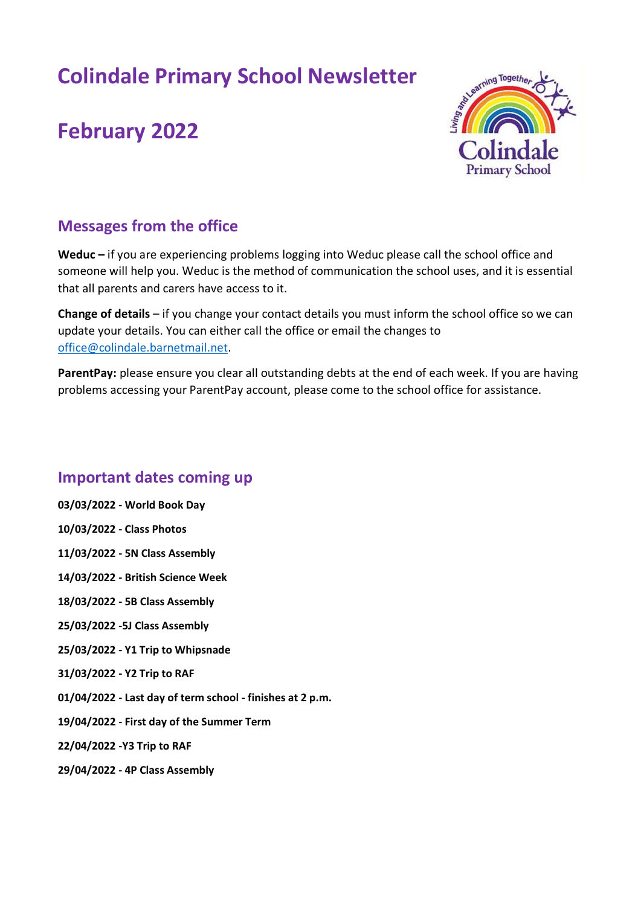# **Colindale Primary School Newsletter**

# **February 2022**



## **Messages from the office**

**Weduc –** if you are experiencing problems logging into Weduc please call the school office and someone will help you. Weduc is the method of communication the school uses, and it is essential that all parents and carers have access to it.

**Change of details** – if you change your contact details you must inform the school office so we can update your details. You can either call the office or email the changes to [office@colindale.barnetmail.net.](mailto:office@colindale.barnetmail.net)

ParentPay: please ensure you clear all outstanding debts at the end of each week. If you are having problems accessing your ParentPay account, please come to the school office for assistance.

## **Important dates coming up**

**03/03/2022 - World Book Day 10/03/2022 - Class Photos 11/03/2022 - 5N Class Assembly 14/03/2022 - British Science Week 18/03/2022 - 5B Class Assembly 25/03/2022 -5J Class Assembly 25/03/2022 - Y1 Trip to Whipsnade 31/03/2022 - Y2 Trip to RAF 01/04/2022 - Last day of term school - finishes at 2 p.m. 19/04/2022 - First day of the Summer Term 22/04/2022 -Y3 Trip to RAF 29/04/2022 - 4P Class Assembly**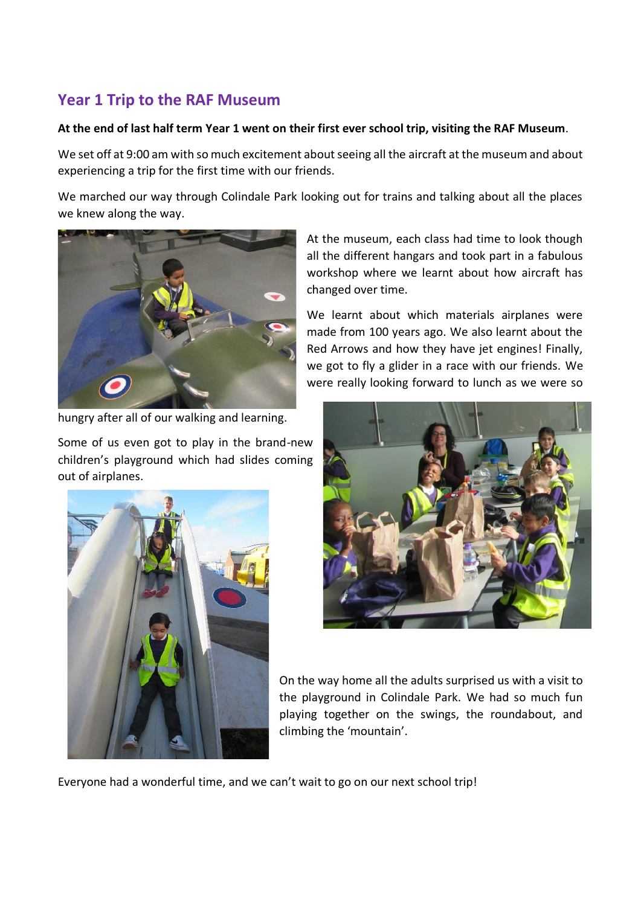## **Year 1 Trip to the RAF Museum**

#### **At the end of last half term Year 1 went on their first ever school trip, visiting the RAF Museum**.

We set off at 9:00 am with so much excitement about seeing all the aircraft at the museum and about experiencing a trip for the first time with our friends.

We marched our way through Colindale Park looking out for trains and talking about all the places we knew along the way.



hungry after all of our walking and learning.

Some of us even got to play in the brand-new children's playground which had slides coming out of airplanes.



At the museum, each class had time to look though all the different hangars and took part in a fabulous workshop where we learnt about how aircraft has changed over time.

We learnt about which materials airplanes were made from 100 years ago. We also learnt about the Red Arrows and how they have jet engines! Finally, we got to fly a glider in a race with our friends. We were really looking forward to lunch as we were so



On the way home all the adults surprised us with a visit to the playground in Colindale Park. We had so much fun playing together on the swings, the roundabout, and climbing the 'mountain'.

Everyone had a wonderful time, and we can't wait to go on our next school trip!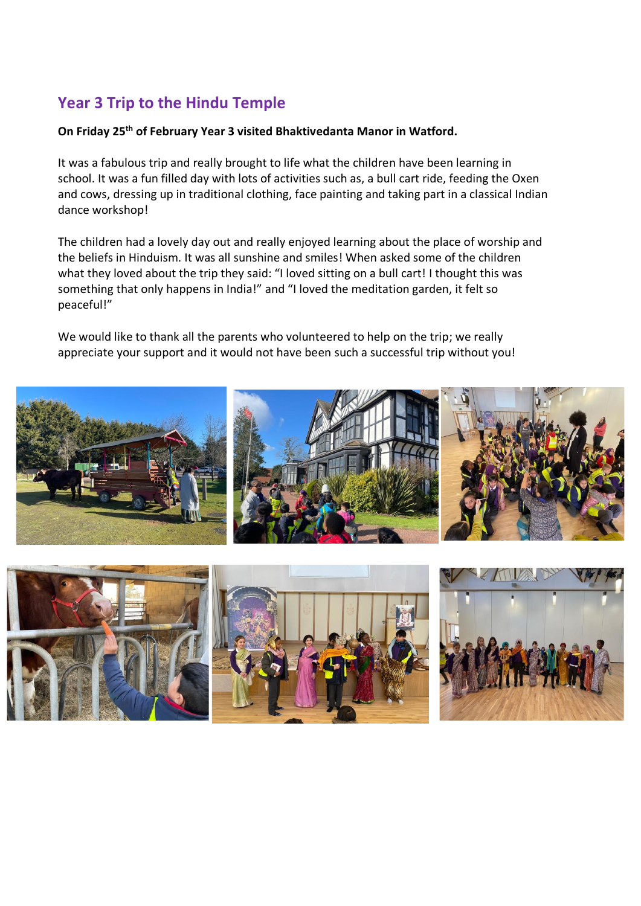# **Year 3 Trip to the Hindu Temple**

#### **On Friday 25th of February Year 3 visited Bhaktivedanta Manor in Watford.**

It was a fabulous trip and really brought to life what the children have been learning in school. It was a fun filled day with lots of activities such as, a bull cart ride, feeding the Oxen and cows, dressing up in traditional clothing, face painting and taking part in a classical Indian dance workshop!

The children had a lovely day out and really enjoyed learning about the place of worship and the beliefs in Hinduism. It was all sunshine and smiles! When asked some of the children what they loved about the trip they said: "I loved sitting on a bull cart! I thought this was something that only happens in India!" and "I loved the meditation garden, it felt so peaceful!"

We would like to thank all the parents who volunteered to help on the trip; we really appreciate your support and it would not have been such a successful trip without you!



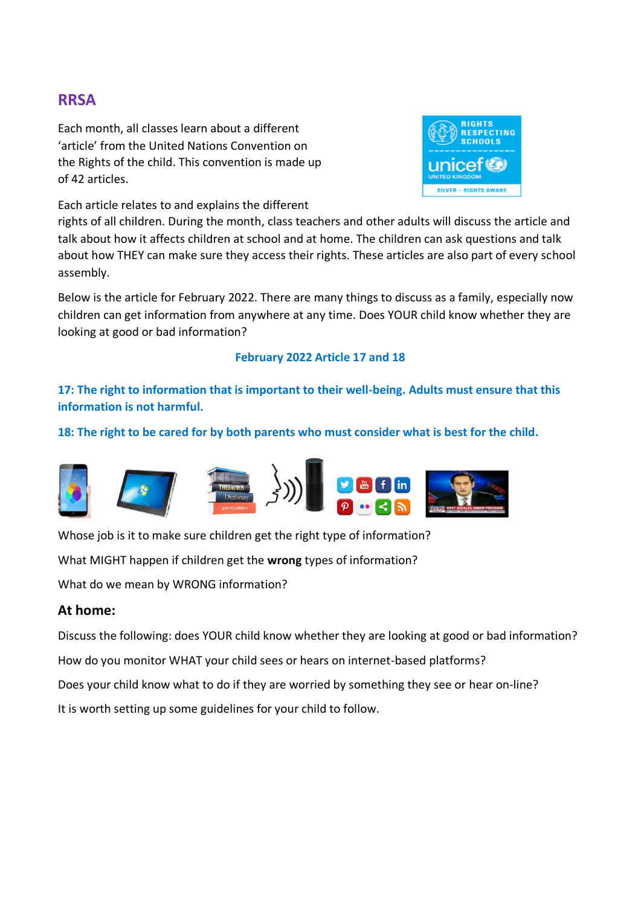## **RRSA**

Each month, all classes learn about a different 'article' from the United Nations Convention on the Rights of the child. This convention is made up of 42 articles.



Each article relates to and explains the different

rights of all children. During the month, class teachers and other adults will discuss the article and talk about how it affects children at school and at home. The children can ask questions and talk about how THEY can make sure they access their rights. These articles are also part of every school assembly.

Below is the article for February 2022. There are many things to discuss as a family, especially now children can get information from anywhere at any time. Does YOUR child know whether they are looking at good or bad information?

## **February 2022 Article 17 and 18**

## **17: The right to information that is important to their well-being. Adults must ensure that this information is not harmful.**

**18: The right to be cared for by both parents who must consider what is best for the child.**



Whose job is it to make sure children get the right type of information?

What MIGHT happen if children get the **wrong** types of information?

What do we mean by WRONG information?

### **At home:**

Discuss the following: does YOUR child know whether they are looking at good or bad information? How do you monitor WHAT your child sees or hears on internet-based platforms? Does your child know what to do if they are worried by something they see or hear on-line? It is worth setting up some guidelines for your child to follow.